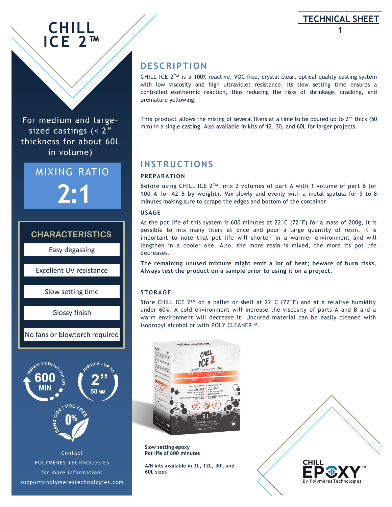# **CHILL ICE 2™**

For medium and largesized castings (< 2" thickness for about 60L in volume)

> MIXING RATIO **2:1**

## **CHARACTERISTICS**

Easy degassing

Excellent UV resistance

Slow setting time

Glossy finish

No fans or blowtorch required

# 50 MN ioc. Contact

POLYMÈRES TECHNOLOGIES for more information: support@polymerestechnologies.com

# **DESCRIPTION**

CHILL ICE  $2^{T M}$  is a 100% reactive, VOC-free, crystal clear, optical quality casting system with low viscosity and high ultraviolet resistance. Its slow setting time ensures a controlled exothermic reaction, thus reducing the risks of shrinkage, cracking, and premature yellowing.

**TECHNICAL SHEET 1**

This product allows the mixing of several liters at a time to be poured up to 2'' thick (50 mm) in a single casting. Also available in kits of 12, 30, and 60L for larger projects.

# **INSTRUCTIONS**

#### **PREPARATION**

Before using CHILL ICE 2™, mix 2 volumes of part A with 1 volume of part B (or 100 A for 42 B by weight). Mix slowly and evenly with a metal spatula for 5 to 8 minutes making sure to scrape the edges and bottom of the container.

#### **USAGE**

As the pot life of this system is 600 minutes at  $22^{\circ}$ C (72 $^{\circ}$ F) for a mass of 200g, it is possible to mix many liters at once and pour a large quantity of resin. It is important to note that pot life will shorten in a warmer environment and will lengthen in a cooler one. Also, the more resin is mixed, the more its pot life decreases.

**The remaining unused mixture might emit a lot of heat; beware of burn risks. Always test the product on a sample prior to using it on a project.**

#### **S T O R A G E**

Store CHILL ICE 2<sup>TM</sup> on a pallet or shelf at 22°C (72°F) and at a relative humidity under 60%. A cold environment will increase the viscosity of parts A and B and a warm environment will decrease it. Uncured material can be easily cleaned with isopropyl alcohol or with POLY CLEANER™.



**Slow setting epoxy Pot life of 600 minutes**

**A/B kits available in 3L, 12L, 30L and 60L sizes**

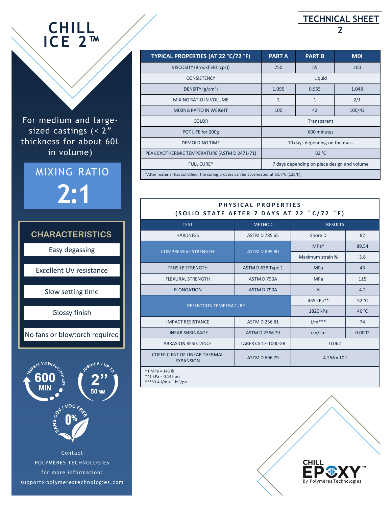# **CHILL ICE 2™**

For medium and largesized castings (< 2" thickness for about 60L in volume)







\*\*\*53.4 J/m = 1 blF/po

POLYMÈRES TECHNOLOGIES for more information: support@polymerestechnologies.com and By Polymères Technologies

| TYPICAL PROPERTIES (AT 22 °C/72 °F)                                                      | <b>PART A</b>                               | <b>PART B</b> | <b>MIX</b> |  |
|------------------------------------------------------------------------------------------|---------------------------------------------|---------------|------------|--|
| VISCOSITY (Brookfield (cps))                                                             | 750                                         | 55            | 200        |  |
| <b>CONSISTENCY</b>                                                                       | Liquid                                      |               |            |  |
| DENSITY $(g/cm^3)$                                                                       | 1.095                                       | 0.955         | 1.048      |  |
| <b>MIXING RATIO IN VOLUME</b>                                                            | $\overline{2}$                              | $\mathbf{1}$  | 2/1        |  |
| <b>MIXING RATIO IN WEIGHT</b>                                                            | 100                                         | 42            | 100/42     |  |
| <b>COLOR</b>                                                                             | Transparent                                 |               |            |  |
| POT LIFE for 200g                                                                        | 600 minutes                                 |               |            |  |
| <b>DEMOLDING TIME</b>                                                                    | 10 days depending on the mass               |               |            |  |
| PEAK EXOTHERMIC TEMPERATURE (ASTM D 2471-71)                                             | 82 °C                                       |               |            |  |
| <b>FULL CURE*</b>                                                                        | 7 days depending on piece design and volume |               |            |  |
| *After material has solidified, the curing process can be accelerated at 51.7°C (125°F). |                                             |               |            |  |

#### **PHYSICAL PROPERTIES ( S O L I D S T A T E A F T E R 7 D A Y S A T 2 2 ° C / 7 2 ° F )**

| <b>TEST</b>                                              | <b>METHOD</b>        | <b>RESULTS</b>         |        |  |
|----------------------------------------------------------|----------------------|------------------------|--------|--|
| <b>HARDNESS</b>                                          | <b>ASTM D 785 65</b> | Shore D                | 82     |  |
| <b>COMPRESSIVE STRENGTH</b>                              | <b>ASTM D 695 80</b> | $MPa*$                 | 89.54  |  |
|                                                          |                      | Maximum strain %       | 3.8    |  |
| <b>TENSILE STRENGTH</b>                                  | ASTM D 638 Type 1    | <b>MPa</b>             | 43     |  |
| <b>FLEXURAL STRENGTH</b>                                 | ASTM D 790A          | <b>MPa</b>             | 115    |  |
| <b>ELONGATION</b>                                        | ASTM D 790A          | %                      | 4.2    |  |
| <b>DEFLECTION TEMPERATURE</b>                            |                      | 455 kPa**              | 52 °C  |  |
|                                                          |                      | 1820 kPa               | 46 °C  |  |
| <b>IMPACT RESISTANCE</b>                                 | <b>ASTM D 256 81</b> | $J/m***$               | 74     |  |
| <b>LINEAR SHRINKAGE</b>                                  | ASTM D 2566 79       | cm/cm                  | 0.0002 |  |
| <b>ABRASION RESISTANCE</b>                               | TABER CS 17-1000 GR  | 0.062                  |        |  |
| <b>COEFFICIENT OF LINEAR THERMAL</b><br><b>EXPANSION</b> | <b>ASTM D 696 79</b> | $4.256 \times 10^{-5}$ |        |  |
| $*1$ MPa = 145 lb<br>**1 kPa = $0.145$ psi               |                      |                        |        |  |

# **TECHNICAL SHEET 2**